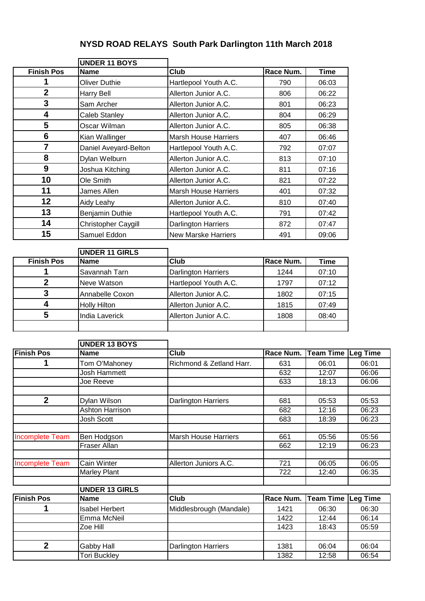## **NYSD ROAD RELAYS South Park Darlington 11th March 2018**

|                        | <b>UNDER 11 BOYS</b>  |                             |                  |                           |       |
|------------------------|-----------------------|-----------------------------|------------------|---------------------------|-------|
| <b>Finish Pos</b>      | <b>Name</b>           | Club                        | Race Num.        | <b>Time</b>               |       |
| 1                      | <b>Oliver Duthie</b>  | Hartlepool Youth A.C.       | 790              | 06:03                     |       |
| $\overline{2}$         | <b>Harry Bell</b>     | Allerton Junior A.C.        | 806              | 06:22                     |       |
| 3                      | Sam Archer            | Allerton Junior A.C.        | 801              | 06:23                     |       |
| 4                      | Caleb Stanley         | Allerton Junior A.C.        | 804              | 06:29                     |       |
| 5                      | Oscar Wilman          | Allerton Junior A.C.        | 805              | 06:38                     |       |
| 6                      | Kian Wallinger        | <b>Marsh House Harriers</b> | 407              | 06:46                     |       |
| $\overline{7}$         | Daniel Aveyard-Belton | Hartlepool Youth A.C.       | 792              | 07:07                     |       |
| 8                      | Dylan Welburn         | Allerton Junior A.C.        | 813              | 07:10                     |       |
| 9                      | Joshua Kitching       | Allerton Junior A.C.        | 811              | 07:16                     |       |
| 10                     | Ole Smith             | Allerton Junior A.C.        | 821              | 07:22                     |       |
| 11                     | James Allen           | <b>Marsh House Harriers</b> | 401              | 07:32                     |       |
| 12                     | Aidy Leahy            | Allerton Junior A.C.        | 810              | 07:40                     |       |
| 13                     | Benjamin Duthie       | Hartlepool Youth A.C.       | 791              | 07:42                     |       |
| 14                     | Christopher Caygill   | <b>Darlington Harriers</b>  | 872              | 07:47                     |       |
| 15                     | Samuel Eddon          | <b>New Marske Harriers</b>  | 491              | 09:06                     |       |
|                        |                       |                             |                  |                           |       |
|                        | <b>UNDER 11 GIRLS</b> |                             |                  |                           |       |
| <b>Finish Pos</b>      | <b>Name</b>           | Club                        | Race Num.        | <b>Time</b>               |       |
| 1                      | Savannah Tarn         | <b>Darlington Harriers</b>  | 1244             | 07:10                     |       |
| $\overline{2}$         | Neve Watson           | Hartlepool Youth A.C.       | 1797             | 07:12                     |       |
| 3                      | Annabelle Coxon       | Allerton Junior A.C.        | 1802             | 07:15                     |       |
| 4                      | <b>Holly Hilton</b>   | Allerton Junior A.C.        | 1815             | 07:49                     |       |
| 5                      | <b>India Laverick</b> | Allerton Junior A.C.        | 1808             | 08:40                     |       |
|                        |                       |                             |                  |                           |       |
|                        | <b>UNDER 13 BOYS</b>  |                             |                  |                           |       |
| <b>Finish Pos</b>      | <b>Name</b>           | Club                        | Race Num.        | <b>Team Time Leg Time</b> |       |
| 1                      | Tom O'Mahoney         | Richmond & Zetland Harr.    | 631              | 06:01                     | 06:01 |
|                        | Josh Hammett          |                             | 632              | 12:07                     | 06:06 |
|                        | Joe Reeve             |                             | 633              | 18:13                     | 06:06 |
|                        |                       |                             |                  |                           |       |
| $\mathbf{2}$           | Dylan Wilson          | <b>Darlington Harriers</b>  | 681              | 05:53                     | 05:53 |
|                        | Ashton Harrison       |                             | 682              | 12:16                     | 06:23 |
|                        | Josh Scott            |                             | 683              | 18:39                     | 06:23 |
| <b>Incomplete Team</b> | Ben Hodgson           | <b>Marsh House Harriers</b> | 661              | 05:56                     | 05:56 |
|                        | Fraser Allan          |                             | 662              | 12:19                     | 06:23 |
|                        |                       |                             |                  |                           |       |
| <b>Incomplete Team</b> | Cain Winter           | Allerton Juniors A.C.       | 721              | 06:05                     | 06:05 |
|                        | <b>Marley Plant</b>   |                             | $\overline{722}$ | 12:40                     | 06:35 |
|                        | <b>UNDER 13 GIRLS</b> |                             |                  |                           |       |

|                   | טוויט טו ווער         |                            |      |                              |       |  |
|-------------------|-----------------------|----------------------------|------|------------------------------|-------|--|
| <b>Finish Pos</b> | <b>Name</b>           | Club                       |      | Race Num. Team Time Leg Time |       |  |
|                   | <b>Isabel Herbert</b> | Middlesbrough (Mandale)    | 1421 | 06:30                        | 06:30 |  |
|                   | Emma McNeil           |                            | 1422 | 12:44                        | 06:14 |  |
|                   | Zoe Hill              |                            | 1423 | 18:43                        | 05:59 |  |
|                   |                       |                            |      |                              |       |  |
|                   | <b>Gabby Hall</b>     | <b>Darlington Harriers</b> | 1381 | 06:04                        | 06:04 |  |
|                   | Tori Buckley          |                            | 1382 | 12:58                        | 06:54 |  |
|                   |                       |                            |      |                              |       |  |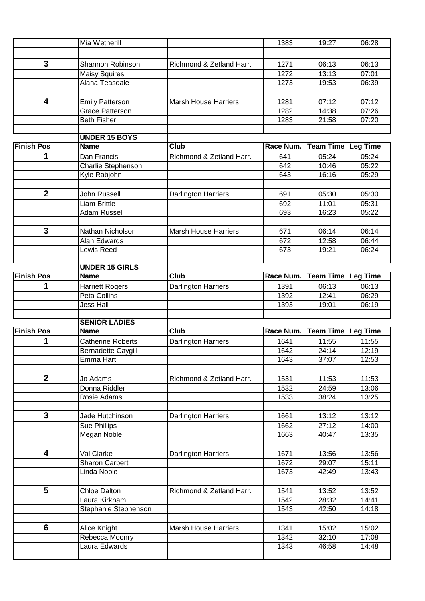|                         | Mia Wetherill                                    |                             | 1383         | 19:27                     | 06:28           |
|-------------------------|--------------------------------------------------|-----------------------------|--------------|---------------------------|-----------------|
|                         |                                                  |                             |              |                           |                 |
| 3                       | Shannon Robinson                                 | Richmond & Zetland Harr.    | 1271         | 06:13                     | 06:13           |
|                         |                                                  |                             | 1272         | 13:13                     | 07:01           |
|                         | <b>Maisy Squires</b><br>Alana Teasdale           |                             | 1273         | 19:53                     | 06:39           |
|                         |                                                  |                             |              |                           |                 |
| $\overline{\mathbf{4}}$ |                                                  | <b>Marsh House Harriers</b> | 1281         | 07:12                     | 07:12           |
|                         | <b>Emily Patterson</b><br><b>Grace Patterson</b> |                             | 1282         | 14:38                     | 07:26           |
|                         | <b>Beth Fisher</b>                               |                             | 1283         | 21:58                     | 07:20           |
|                         |                                                  |                             |              |                           |                 |
|                         | <b>UNDER 15 BOYS</b>                             |                             |              |                           |                 |
| <b>Finish Pos</b>       | <b>Name</b>                                      | Club                        | Race Num.    | Team Time Leg Time        |                 |
| 1                       | Dan Francis                                      | Richmond & Zetland Harr.    | 641          | 05:24                     | 05:24           |
|                         | Charlie Stephenson                               |                             | 642          | 10:46                     | 05:22           |
|                         | Kyle Rabjohn                                     |                             | 643          | 16:16                     | 05:29           |
|                         |                                                  |                             |              |                           |                 |
| $\boldsymbol{2}$        | John Russell                                     | <b>Darlington Harriers</b>  | 691          | 05:30                     | 05:30           |
|                         | <b>Liam Brittle</b>                              |                             | 692          | 11:01                     | 05:31           |
|                         | Adam Russell                                     |                             | 693          | 16:23                     | 05:22           |
|                         |                                                  |                             |              |                           |                 |
| 3                       | Nathan Nicholson                                 | <b>Marsh House Harriers</b> | 671          | 06:14                     | 06:14           |
|                         | <b>Alan Edwards</b>                              |                             | 672          | 12:58                     | 06:44           |
|                         | Lewis Reed                                       |                             | 673          | 19:21                     | 06:24           |
|                         |                                                  |                             |              |                           |                 |
|                         | <b>UNDER 15 GIRLS</b>                            |                             |              |                           |                 |
| <b>Finish Pos</b>       | <b>Name</b>                                      | Club                        | Race Num.    | <b>Team Time</b>          | <b>Leg Time</b> |
| 1                       | <b>Harriett Rogers</b>                           | <b>Darlington Harriers</b>  | 1391         | 06:13                     | 06:13           |
|                         | Peta Collins                                     |                             | 1392         | 12:41                     | 06:29           |
|                         | <b>Jess Hall</b>                                 |                             | 1393         | 19:01                     | 06:19           |
|                         |                                                  |                             |              |                           |                 |
|                         | <b>SENIOR LADIES</b>                             |                             |              |                           |                 |
|                         |                                                  |                             |              |                           |                 |
| <b>Finish Pos</b>       | <b>Name</b>                                      | <b>Club</b>                 |              |                           |                 |
|                         |                                                  |                             | Race Num.    | <b>Team Time Leg Time</b> |                 |
| 1                       | <b>Catherine Roberts</b>                         | <b>Darlington Harriers</b>  | 1641         | 11:55                     | 11:55           |
|                         | <b>Bernadette Caygill</b>                        |                             | 1642         | 24:14                     | 12:19           |
|                         | Emma Hart                                        |                             | 1643         | 37:07                     | 12:53           |
|                         |                                                  |                             |              |                           |                 |
| $\mathbf{2}$            | Jo Adams                                         | Richmond & Zetland Harr.    | 1531         | 11:53                     | 11:53           |
|                         | Donna Riddler<br>Rosie Adams                     |                             | 1532<br>1533 | 24:59<br>38:24            | 13:06<br>13:25  |
|                         |                                                  |                             |              |                           |                 |
|                         |                                                  |                             |              |                           |                 |
| 3                       | Jade Hutchinson                                  | <b>Darlington Harriers</b>  | 1661         | 13:12                     | 13:12           |
|                         | <b>Sue Phillips</b>                              |                             | 1662<br>1663 | 27:12<br>40:47            | 14:00           |
|                         | Megan Noble                                      |                             |              |                           | 13:35           |
| 4                       | Val Clarke                                       |                             | 1671         | 13:56                     | 13:56           |
|                         | <b>Sharon Carbert</b>                            | Darlington Harriers         | 1672         | 29:07                     | 15:11           |
|                         | Linda Noble                                      |                             | 1673         | 42:49                     | 13:43           |
|                         |                                                  |                             |              |                           |                 |
| 5                       | <b>Chloe Dalton</b>                              | Richmond & Zetland Harr.    | 1541         | 13:52                     | 13:52           |
|                         | Laura Kirkham                                    |                             | 1542         | 28:32                     | 14:41           |
|                         | Stephanie Stephenson                             |                             | 1543         | 42:50                     | 14:18           |
|                         |                                                  |                             |              |                           |                 |
| $6\phantom{1}6$         |                                                  | <b>Marsh House Harriers</b> | 1341         | 15:02                     | 15:02           |
|                         | Alice Knight                                     |                             | 1342         | 32:10                     | 17:08           |
|                         | Rebecca Moonry<br>Laura Edwards                  |                             | 1343         | 46:58                     | 14:48           |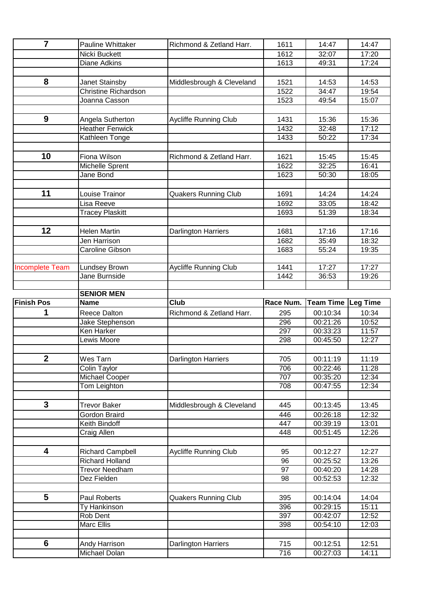| $\overline{7}$         | Pauline Whittaker           | Richmond & Zetland Harr.     | 1611       | 14:47                | 14:47           |
|------------------------|-----------------------------|------------------------------|------------|----------------------|-----------------|
|                        | Nicki Buckett               |                              | 1612       | 32:07                | 17:20           |
|                        | <b>Diane Adkins</b>         |                              | 1613       | 49:31                | 17:24           |
|                        |                             |                              |            |                      |                 |
| 8                      | Janet Stainsby              | Middlesbrough & Cleveland    | 1521       | 14:53                | 14:53           |
|                        | <b>Christine Richardson</b> |                              | 1522       | 34:47                | 19:54           |
|                        | Joanna Casson               |                              | 1523       | 49:54                | 15:07           |
|                        |                             |                              |            |                      |                 |
| 9                      | Angela Sutherton            | Aycliffe Running Club        | 1431       | 15:36                | 15:36           |
|                        | <b>Heather Fenwick</b>      |                              | 1432       | 32:48                | 17:12           |
|                        | Kathleen Tonge              |                              | 1433       | 50:22                | 17:34           |
|                        |                             |                              |            |                      |                 |
| 10                     | Fiona Wilson                | Richmond & Zetland Harr.     | 1621       | 15:45                | 15:45           |
|                        | Michelle Sprent             |                              | 1622       | 32:25                | 16:41           |
|                        | Jane Bond                   |                              | 1623       | 50:30                | 18:05           |
|                        |                             |                              |            |                      |                 |
| 11                     | Louise Trainor              | <b>Quakers Running Club</b>  | 1691       | 14:24                | 14:24           |
|                        | Lisa Reeve                  |                              | 1692       | 33:05                | 18:42           |
|                        | <b>Tracey Plaskitt</b>      |                              | 1693       | 51:39                | 18:34           |
|                        |                             |                              |            |                      |                 |
| 12                     | <b>Helen Martin</b>         | <b>Darlington Harriers</b>   | 1681       | 17:16                | 17:16           |
|                        | Jen Harrison                |                              | 1682       | 35:49                | 18:32           |
|                        | Caroline Gibson             |                              | 1683       | 55:24                | 19:35           |
|                        |                             |                              |            |                      |                 |
| <b>Incomplete Team</b> | Lundsey Brown               | Aycliffe Running Club        | 1441       | 17:27                | 17:27           |
|                        | Jane Burnside               |                              | 1442       | 36:53                | 19:26           |
|                        | <b>SENIOR MEN</b>           |                              |            |                      |                 |
|                        |                             |                              |            |                      |                 |
|                        |                             |                              |            |                      |                 |
| <b>Finish Pos</b>      | <b>Name</b>                 | <b>Club</b>                  | Race Num.  | <b>Team Time</b>     | <b>Leg Time</b> |
| 1                      | <b>Reece Dalton</b>         | Richmond & Zetland Harr.     | 295        | 00:10:34             | 10:34           |
|                        | Jake Stephenson             |                              | 296        | 00:21:26             | 10:52           |
|                        | Ken Harker                  |                              | 297        | 00:33:23             | 11:57           |
|                        | Lewis Moore                 |                              | 298        | 00:45:50             | 12:27           |
|                        |                             |                              |            |                      |                 |
| $\mathbf{2}$           | Wes Tarn                    | <b>Darlington Harriers</b>   | 705        | 00:11:19             | 11:19           |
|                        | Colin Taylor                |                              | 706        | 00:22:46             | 11:28           |
|                        | Michael Cooper              |                              | 707<br>708 | 00:35:20             | 12:34           |
|                        | Tom Leighton                |                              |            | 00:47:55             | 12:34           |
| $\mathbf{3}$           | <b>Trevor Baker</b>         |                              | 445        |                      |                 |
|                        | Gordon Braird               | Middlesbrough & Cleveland    | 446        | 00:13:45<br>00:26:18 | 13:45           |
|                        | Keith Bindoff               |                              | 447        | 00:39:19             | 12:32<br>13:01  |
|                        | Craig Allen                 |                              | 448        | 00:51:45             | 12:26           |
|                        |                             |                              |            |                      |                 |
| 4                      | <b>Richard Campbell</b>     | <b>Aycliffe Running Club</b> | 95         | 00:12:27             | 12:27           |
|                        | <b>Richard Holland</b>      |                              | 96         | 00:25:52             | 13:26           |
|                        | <b>Trevor Needham</b>       |                              | 97         | 00:40:20             | 14:28           |
|                        | Dez Fielden                 |                              | 98         | 00:52:53             | 12:32           |
|                        |                             |                              |            |                      |                 |
| 5                      | Paul Roberts                | <b>Quakers Running Club</b>  | 395        | 00:14:04             | 14:04           |
|                        | Ty Hankinson                |                              | 396        | 00:29:15             | 15:11           |
|                        | Rob Dent                    |                              | 397        | 00:42:07             | 12:52           |
|                        | <b>Marc Ellis</b>           |                              | 398        | 00:54:10             | 12:03           |
|                        |                             |                              |            |                      |                 |
| $6\phantom{1}$         | Andy Harrison               | Darlington Harriers          | 715        | 00:12:51             | 12:51           |